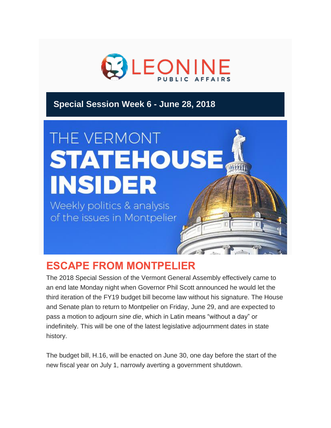

## **Special Session Week 6 - June 28, 2018**

# THE VERMONT **STATEHOUSE A INSIDER**

Weekly politics & analysis of the issues in Montpelier

## **ESCAPE FROM MONTPELIER**

The 2018 Special Session of the Vermont General Assembly effectively came to an end late Monday night when Governor Phil Scott announced he would let the third iteration of the FY19 budget bill become law without his signature. The House and Senate plan to return to Montpelier on Friday, June 29, and are expected to pass a motion to adjourn *sine die*, which in Latin means "without a day" or indefinitely. This will be one of the latest legislative adjournment dates in state history.

The budget bill, H.16, will be enacted on June 30, one day before the start of the new fiscal year on July 1, narrowly averting a government shutdown.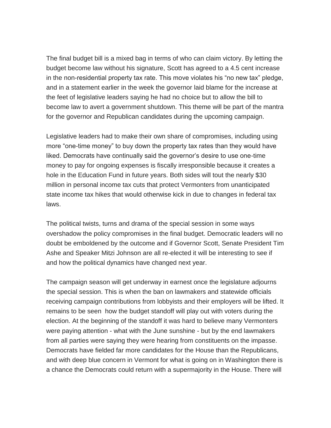The final budget bill is a mixed bag in terms of who can claim victory. By letting the budget become law without his signature, Scott has agreed to a 4.5 cent increase in the non-residential property tax rate. This move violates his "no new tax" pledge, and in a statement earlier in the week the governor laid blame for the increase at the feet of legislative leaders saying he had no choice but to allow the bill to become law to avert a government shutdown. This theme will be part of the mantra for the governor and Republican candidates during the upcoming campaign.

Legislative leaders had to make their own share of compromises, including using more "one-time money" to buy down the property tax rates than they would have liked. Democrats have continually said the governor's desire to use one-time money to pay for ongoing expenses is fiscally irresponsible because it creates a hole in the Education Fund in future years. Both sides will tout the nearly \$30 million in personal income tax cuts that protect Vermonters from unanticipated state income tax hikes that would otherwise kick in due to changes in federal tax laws.

The political twists, turns and drama of the special session in some ways overshadow the policy compromises in the final budget. Democratic leaders will no doubt be emboldened by the outcome and if Governor Scott, Senate President Tim Ashe and Speaker Mitzi Johnson are all re-elected it will be interesting to see if and how the political dynamics have changed next year.

The campaign season will get underway in earnest once the legislature adjourns the special session. This is when the ban on lawmakers and statewide officials receiving campaign contributions from lobbyists and their employers will be lifted. It remains to be seen how the budget standoff will play out with voters during the election. At the beginning of the standoff it was hard to believe many Vermonters were paying attention - what with the June sunshine - but by the end lawmakers from all parties were saying they were hearing from constituents on the impasse. Democrats have fielded far more candidates for the House than the Republicans, and with deep blue concern in Vermont for what is going on in Washington there is a chance the Democrats could return with a supermajority in the House. There will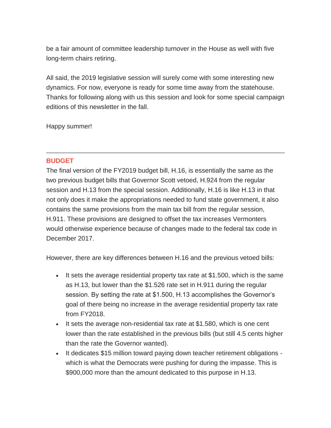be a fair amount of committee leadership turnover in the House as well with five long-term chairs retiring.

All said, the 2019 legislative session will surely come with some interesting new dynamics. For now, everyone is ready for some time away from the statehouse. Thanks for following along with us this session and look for some special campaign editions of this newsletter in the fall.

Happy summer!

#### **BUDGET**

The final version of the FY2019 budget bill, H.16, is essentially the same as the two previous budget bills that Governor Scott vetoed, H.924 from the regular session and H.13 from the special session. Additionally, H.16 is like H.13 in that not only does it make the appropriations needed to fund state government, it also contains the same provisions from the main tax bill from the regular session, H.911. These provisions are designed to offset the tax increases Vermonters would otherwise experience because of changes made to the federal tax code in December 2017.

However, there are key differences between H.16 and the previous vetoed bills:

- It sets the average residential property tax rate at \$1.500, which is the same as H.13, but lower than the \$1.526 rate set in H.911 during the regular session. By setting the rate at \$1.500, H.13 accomplishes the Governor's goal of there being no increase in the average residential property tax rate from FY2018.
- It sets the average non-residential tax rate at  $$1.580$ , which is one cent lower than the rate established in the previous bills (but still 4.5 cents higher than the rate the Governor wanted).
- It dedicates \$15 million toward paying down teacher retirement obligations which is what the Democrats were pushing for during the impasse. This is \$900,000 more than the amount dedicated to this purpose in H.13.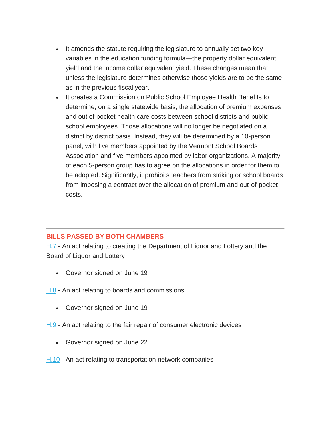- It amends the statute requiring the legislature to annually set two key variables in the education funding formula—the property dollar equivalent yield and the income dollar equivalent yield. These changes mean that unless the legislature determines otherwise those yields are to be the same as in the previous fiscal year.
- It creates a Commission on Public School Employee Health Benefits to determine, on a single statewide basis, the allocation of premium expenses and out of pocket health care costs between school districts and publicschool employees. Those allocations will no longer be negotiated on a district by district basis. Instead, they will be determined by a 10-person panel, with five members appointed by the Vermont School Boards Association and five members appointed by labor organizations. A majority of each 5-person group has to agree on the allocations in order for them to be adopted. Significantly, it prohibits teachers from striking or school boards from imposing a contract over the allocation of premium and out-of-pocket costs.

### **BILLS PASSED BY BOTH CHAMBERS**

[H.7](https://legislature.vermont.gov/assets/Documents/2018.1/Docs/Bills/H-0007/H-0007%20As%20Passed%20by%20Both%20House%20and%20Senate%20Unofficial.pdf%C2%A0) - An act relating to creating the Department of Liquor and Lottery and the Board of Liquor and Lottery

- Governor signed on June 19
- [H.8](https://legislature.vermont.gov/assets/Documents/2018.1/Docs/Bills/H-0008/H-0008%20As%20Passed%20by%20Both%20House%20and%20Senate%20Unofficial.pdf%C2%A0) An act relating to boards and commissions
	- Governor signed on June 19
- [H.9](https://legislature.vermont.gov/assets/Documents/2018.1/Docs/Bills/H-0009/H-0009%20As%20Passed%20by%20Both%20House%20and%20Senate%20Unofficial.pdf) An act relating to the fair repair of consumer electronic devices
	- Governor signed on June 22
- [H.10](https://legislature.vermont.gov/assets/Documents/2018.1/Docs/Bills/H-0010/H-0010%20As%20Passed%20by%20Both%20House%20and%20Senate%20Unofficial.pdf) An act relating to transportation network companies